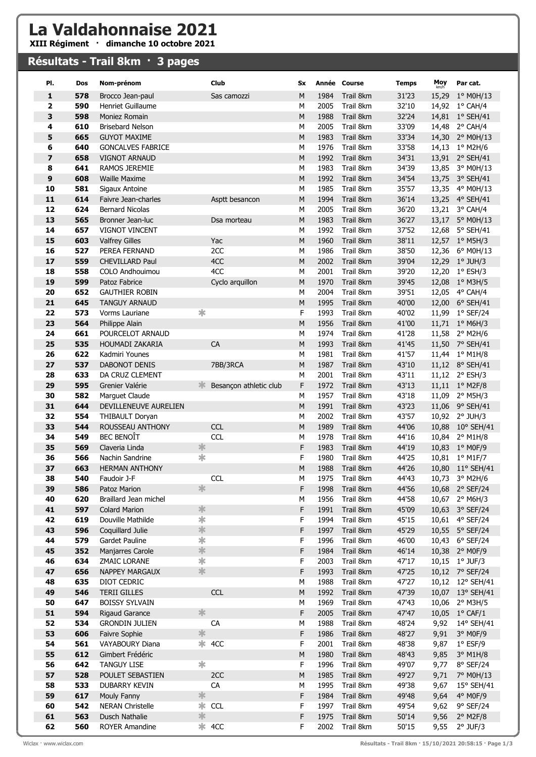## La Valdahonnaise 2021

XIII Régiment · dimanche 10 octobre 2021

## Résultats - Trail 8km · 3 pages

| PI.                     | Dos | Nom-prénom               |         | Club                   | Sx        |      | Année Course | <b>Temps</b> | Moy<br>km/h | Par cat.           |
|-------------------------|-----|--------------------------|---------|------------------------|-----------|------|--------------|--------------|-------------|--------------------|
| 1                       | 578 | Brocco Jean-paul         |         | Sas camozzi            | M         | 1984 | Trail 8km    | 31'23        | 15,29       | $1^{\circ}$ MOH/13 |
| $\overline{\mathbf{2}}$ | 590 | Henriet Guillaume        |         |                        | M         | 2005 | Trail 8km    | 32'10        |             | 14,92 1° CAH/4     |
| 3                       | 598 | Moniez Romain            |         |                        | M         | 1988 | Trail 8km    | 32'24        |             | 14,81 1° SEH/41    |
| 4                       | 610 | <b>Brisebard Nelson</b>  |         |                        | М         | 2005 | Trail 8km    | 33'09        |             | 14,48 2° CAH/4     |
| 5                       | 665 | <b>GUYOT MAXIME</b>      |         |                        | M         | 1983 | Trail 8km    | 33'34        | 14,30       | 2° M0H/13          |
| 6                       | 640 | <b>GONCALVES FABRICE</b> |         |                        | M         | 1976 | Trail 8km    | 33'58        |             | 14,13 1° M2H/6     |
| $\overline{\mathbf{z}}$ | 658 | <b>VIGNOT ARNAUD</b>     |         |                        | ${\sf M}$ | 1992 | Trail 8km    | 34'31        |             | 13,91 2° SEH/41    |
| 8                       | 641 | <b>RAMOS JEREMIE</b>     |         |                        | M         | 1983 | Trail 8km    | 34'39        |             | 13,85 3° MOH/13    |
| 9                       | 608 | <b>Waille Maxime</b>     |         |                        | M         | 1992 | Trail 8km    | 34'54        |             | 13,75 3° SEH/41    |
| 10                      | 581 | Sigaux Antoine           |         |                        | M         | 1985 | Trail 8km    | 35'57        |             | 13,35 4° M0H/13    |
| 11                      | 614 | Faivre Jean-charles      |         | Asptt besancon         | M         | 1994 | Trail 8km    | 36'14        |             | 13,25 4° SEH/41    |
| 12                      | 624 | <b>Bernard Nicolas</b>   |         |                        | M         | 2005 | Trail 8km    | 36'20        | 13,21       | 3° CAH/4           |
| 13                      | 565 | Bronner Jean-luc         |         | Dsa morteau            | ${\sf M}$ | 1983 | Trail 8km    | 36'27        |             | 13,17 5° M0H/13    |
| 14                      | 657 | <b>VIGNOT VINCENT</b>    |         |                        | M         | 1992 | Trail 8km    | 37'52        | 12,68       | $5^{\circ}$ SEH/41 |
| 15                      | 603 | <b>Valfrey Gilles</b>    |         | Yac                    | M         | 1960 | Trail 8km    | 38'11        |             | 12,57 1° M5H/3     |
| 16                      | 527 | PEREA FERNAND            |         | 2CC                    | M         | 1986 | Trail 8km    | 38'50        |             | 12,36 6° M0H/13    |
| 17                      | 559 | <b>CHEVILLARD Paul</b>   |         | 4CC                    | M         | 2002 | Trail 8km    | 39'04        |             | 12,29 1° JUH/3     |
| 18                      | 558 | COLO Andhouimou          |         | 4CC                    | M         | 2001 | Trail 8km    | 39'20        | 12,20       | 1° ESH/3           |
| 19                      | 599 | Patoz Fabrice            |         | Cyclo arquillon        | ${\sf M}$ | 1970 | Trail 8km    | 39'45        | 12,08       | 1° M3H/5           |
| 20                      | 652 | <b>GAUTHIER ROBIN</b>    |         |                        | M         | 2004 | Trail 8km    | 39'51        |             | 12,05 4° CAH/4     |
| 21                      | 645 | <b>TANGUY ARNAUD</b>     |         |                        | M         | 1995 | Trail 8km    | 40'00        |             | 12,00 6° SEH/41    |
| 22                      | 573 | Vorms Lauriane           | ∗       |                        | F         | 1993 | Trail 8km    | 40'02        |             | 11,99 1° SEF/24    |
| 23                      | 564 | Philippe Alain           |         |                        | M         | 1956 | Trail 8km    | 41'00        |             | 11,71 1° M6H/3     |
| 24                      | 661 | POURCELOT ARNAUD         |         |                        | М         | 1974 | Trail 8km    | 41'28        | 11,58       | 2° M2H/6           |
| 25                      | 535 | HOUMADI ZAKARIA          |         | CA                     | ${\sf M}$ | 1993 | Trail 8km    | 41'45        | 11,50       | 7° SEH/41          |
| 26                      | 622 | Kadmiri Younes           |         |                        | M         | 1981 | Trail 8km    | 41'57        |             | 11,44 1° M1H/8     |
| 27                      | 537 | <b>DABONOT DENIS</b>     |         | 7BB/3RCA               | ${\sf M}$ | 1987 | Trail 8km    | 43'10        |             | 11,12 8° SEH/41    |
| 28                      | 633 | DA CRUZ CLEMENT          |         |                        | M         | 2001 | Trail 8km    | 43'11        |             | 11,12 2° ESH/3     |
| 29                      | 595 | Grenier Valérie          |         | Besançon athletic club | F         | 1972 | Trail 8km    | 43'13        |             | 11,11 1° M2F/8     |
| 30                      | 582 | Marguet Claude           |         |                        | M         | 1957 | Trail 8km    | 43'18        | 11,09       | $2^{\circ}$ M5H/3  |
| 31                      | 644 | DEVILLENEUVE AURELIEN    |         |                        | M         | 1991 | Trail 8km    | 43'23        |             | 11,06 9° SEH/41    |
| 32                      | 554 | THIBAULT Doryan          |         |                        | M         | 2002 | Trail 8km    | 43'57        |             | 10,92 2° JUH/3     |
| 33                      | 544 | <b>ROUSSEAU ANTHONY</b>  |         | <b>CCL</b>             | M         | 1989 | Trail 8km    | 44'06        |             | 10,88 10° SEH/41   |
| 34                      | 549 | <b>BEC BENOIT</b>        |         | <b>CCL</b>             | M         | 1978 | Trail 8km    | 44'16        |             | 10,84 2° M1H/8     |
| 35                      | 569 | Claveria Linda           | $\ast$  |                        | F         | 1983 | Trail 8km    | 44'19        |             | 10,83 1° M0F/9     |
| 36                      | 566 | Nachin Sandrine          | ∗       |                        | F         | 1980 | Trail 8km    | 44'25        |             | 10,81 1° M1F/7     |
| 37                      | 663 | <b>HERMAN ANTHONY</b>    |         |                        | ${\sf M}$ | 1988 | Trail 8km    | 44'26        |             | 10,80 11° SEH/41   |
| 38                      | 540 | Faudoir J-F              |         | <b>CCL</b>             | М         | 1975 | Trail 8km    | 44'43        |             | 10,73 3° M2H/6     |
| 39                      | 586 | Patoz Marion             | ∗       |                        | F         | 1998 | Trail 8km    | 44'56        |             | 10,68 2° SEF/24    |
| 40                      | 620 | Braillard Jean michel    |         |                        | М         | 1956 | Trail 8km    | 44'58        |             | 10,67 2° M6H/3     |
| 41                      | 597 | <b>Colard Marion</b>     | 氺       |                        | F         | 1991 | Trail 8km    | 45'09        |             | 10,63 3° SEF/24    |
| 42                      | 619 | Douville Mathilde        | $\ast$  |                        | F         | 1994 | Trail 8km    | 45'15        |             | 10,61 4° SEF/24    |
| 43                      | 596 | Coquillard Julie         | *       |                        | F         | 1997 | Trail 8km    | 45'29        |             | 10,55 5° SEF/24    |
| 44                      | 579 | Gardet Pauline           | $\ast$  |                        | F         | 1996 | Trail 8km    | 46'00        |             | 10,43 6° SEF/24    |
| 45                      | 352 | Manjarres Carole         | 氺       |                        | F         | 1984 | Trail 8km    | 46'14        |             | 10,38 2° MOF/9     |
| 46                      | 634 | <b>ZMAIC LORANE</b>      | $\ast$  |                        | F         | 2003 | Trail 8km    | 47'17        |             | 10,15 1° JUF/3     |
| 47                      | 656 | <b>NAPPEY MARGAUX</b>    | 宗       |                        | F         | 1993 | Trail 8km    | 47'25        |             | 10,12 7° SEF/24    |
| 48                      | 635 | DIOT CEDRIC              |         |                        | М         | 1988 | Trail 8km    | 47'27        |             | 10,12 12° SEH/41   |
| 49                      | 546 | <b>TERII GILLES</b>      |         | <b>CCL</b>             | M         | 1992 | Trail 8km    | 47'39        |             | 10,07 13° SEH/41   |
| 50                      | 647 | <b>BOISSY SYLVAIN</b>    |         |                        | M         | 1969 | Trail 8km    | 47'43        | 10,06       | 2° M3H/5           |
| 51                      | 594 | Rigaud Garance           | 氺       |                        | F         | 2005 | Trail 8km    | 47'47        |             | 10,05 1° CAF/1     |
| 52                      | 534 | <b>GRONDIN JULIEN</b>    |         | CA                     | М         | 1988 | Trail 8km    | 48'24        | 9,92        | 14° SEH/41         |
| 53                      | 606 | Faivre Sophie            | ∗       |                        | F         | 1986 | Trail 8km    | 48'27        | 9,91        | 3° M0F/9           |
| 54                      | 561 | VAYABOURY Diana          |         | $*$ 4CC                | F         | 2001 | Trail 8km    | 48'38        | 9,87        | $1^{\circ}$ ESF/9  |
| 55                      | 612 | Gimbert Frédéric         |         |                        | M         | 1980 | Trail 8km    | 48'43        | 9,85        | $3^{\circ}$ M1H/8  |
| 56                      | 642 | <b>TANGUY LISE</b>       | ∗       |                        | F.        | 1996 | Trail 8km    | 49'07        | 9,77        | 8° SEF/24          |
| 57                      | 528 | POULET SEBASTIEN         |         | 2CC                    | M         | 1985 | Trail 8km    | 49'27        | 9,71        | 7° M0H/13          |
| 58                      | 533 | <b>DUBARRY KEVIN</b>     |         | CA                     | М         | 1995 | Trail 8km    | 49'38        | 9,67        | 15° SEH/41         |
| 59                      | 617 | Mouly Fanny              | $\ast$  |                        | F         | 1984 | Trail 8km    | 49'48        | 9,64        | 4° M0F/9           |
| 60                      | 542 | <b>NERAN Christelle</b>  | $*$ CCL |                        | F         | 1997 | Trail 8km    | 49'54        | 9,62        | 9° SEF/24          |
| 61                      | 563 | Dusch Nathalie           | 氺       |                        | F         | 1975 | Trail 8km    | 50'14        | 9,56        | $2°$ M2F/8         |
| 62                      | 560 | <b>ROYER Amandine</b>    | $*$ 4CC |                        | F         | 2002 | Trail 8km    | 50'15        | 9,55        | $2°$ JUF/3         |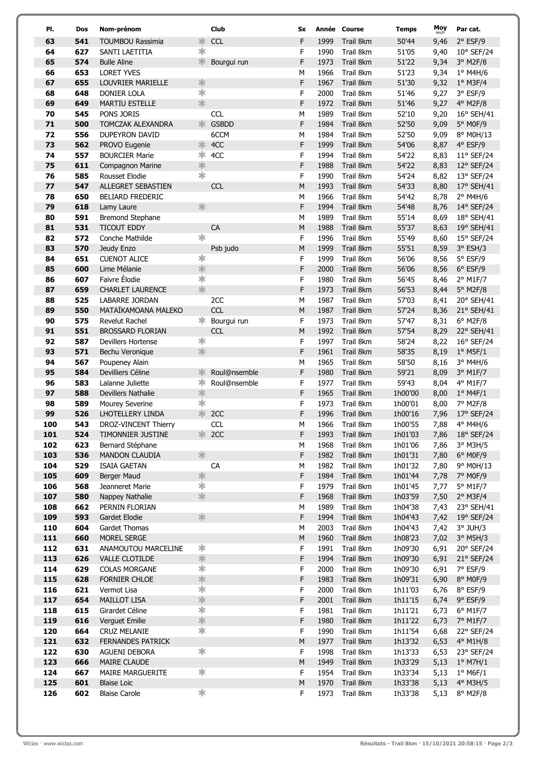| PI.        | Dos        | Nom-prénom                            |                      | <b>Club</b>  | <b>Sx</b> |              | Année Course           | <b>Temps</b>       | Moy<br>km/h  | Par cat.               |
|------------|------------|---------------------------------------|----------------------|--------------|-----------|--------------|------------------------|--------------------|--------------|------------------------|
| 63         | 541        | <b>TOUMBOU Rassimia</b>               | ∗                    | <b>CCL</b>   | F         | 1999         | Trail 8km              | 50'44              | 9,46         | $2°$ ESF/9             |
| 64         | 627        | SANTI LAETITIA                        | ∗                    |              | F         | 1990         | Trail 8km              | 51'05              | 9,40         | 10° SEF/24             |
| 65         | 574        | <b>Bulle Aline</b>                    | 氺                    | Bourgui run  | F         | 1973         | Trail 8km              | 51'22              | 9,34         | $3°$ M2F/8             |
| 66         | 653        | <b>LORET YVES</b>                     |                      |              | M         | 1966         | Trail 8km              | 51'23              | 9,34         | 1° M4H/6               |
| 67         | 655        | LOUVRIER MARIELLE                     | $\ast$               |              | F         | 1967         | Trail 8km              | 51'30              | 9,32         | $1°$ M3F/4             |
| 68         | 648        | <b>DONIER LOLA</b>                    | 宋                    |              | F         | 2000         | Trail 8km              | 51'46              | 9,27         | 3° ESF/9               |
| 69         | 649        | <b>MARTIU ESTELLE</b>                 | *                    |              | F         | 1972         | Trail 8km              | 51'46              | 9,27         | 4° M2F/8               |
| 70         | 545        | PONS JORIS                            |                      | <b>CCL</b>   | M         | 1989         | Trail 8km              | 52'10              | 9,20         | 16° SEH/41             |
| 71         | 500        | <b>TOMCZAK ALEXANDRA</b>              | 氺                    | <b>GSBDD</b> | F         | 1984         | Trail 8km              | 52'50              | 9,09         | 5° M0F/9               |
| 72         | 556        | <b>DUPEYRON DAVID</b>                 |                      | 6CCM         | M         | 1984         | Trail 8km              | 52'50              | 9,09         | 8° M0H/13              |
| 73         | 562        | PROVO Eugenie                         | ∗                    | 4CC          | F         | 1999         | Trail 8km              | 54'06              | 8,87         | 4° ESF/9               |
| 74         | 557        | <b>BOURCIER Marie</b>                 | $\ast$               | 4CC          | F         | 1994         | Trail 8km              | 54'22              | 8,83         | 11° SEF/24             |
| 75         | 611        | Compagnon Marine                      | $\ast$<br>$\ast$     |              | F         | 1988         | Trail 8km              | 54'22              | 8,83         | 12° SEF/24             |
| 76<br>77   | 585<br>547 | Rousset Elodie<br>ALLEGRET SEBASTIEN  |                      | <b>CCL</b>   | F<br>M    | 1990<br>1993 | Trail 8km<br>Trail 8km | 54'24<br>54'33     | 8,82         | 13° SEF/24             |
| 78         | 650        | <b>BELIARD FREDERIC</b>               |                      |              | M         | 1966         | Trail 8km              | 54'42              | 8,80<br>8,78 | 17° SEH/41<br>2° M4H/6 |
| 79         | 618        | Lamy Laure                            | 氺                    |              | F         | 1994         | Trail 8km              | 54'48              | 8,76         | 14° SEF/24             |
| 80         | 591        | Bremond Stephane                      |                      |              | M         | 1989         | Trail 8km              | 55'14              | 8,69         | 18° SEH/41             |
| 81         | 531        | <b>TICOUT EDDY</b>                    |                      | CA           | ${\sf M}$ | 1988         | Trail 8km              | 55'37              | 8,63         | 19° SEH/41             |
| 82         | 572        | Conche Mathilde                       | ∗                    |              | F         | 1996         | Trail 8km              | 55'49              | 8,60         | 15° SEF/24             |
| 83         | 570        | Jeudy Enzo                            |                      | Psb judo     | ${\sf M}$ | 1999         | Trail 8km              | 55'51              | 8,59         | 3° ESH/3               |
| 84         | 651        | <b>CUENOT ALICE</b>                   | $\ast$               |              | F         | 1999         | Trail 8km              | 56'06              | 8,56         | 5° ESF/9               |
| 85         | 600        | Lime Mélanie                          | *                    |              | F         | 2000         | Trail 8km              | 56'06              | 8,56         | $6°$ ESF/9             |
| 86         | 607        | Faivre Élodie                         | ∗                    |              | F         | 1980         | Trail 8km              | 56'45              | 8,46         | $2^{\circ}$ M1F/7      |
| 87         | 659        | <b>CHARLET LAURENCE</b>               | $\frac{1}{2}$        |              | F         | 1973         | Trail 8km              | 56'53              | 8,44         | $5^\circ$ M2F/8        |
| 88         | 525        | LABARRE JORDAN                        |                      | 2CC          | M         | 1987         | Trail 8km              | 57'03              | 8,41         | 20° SEH/41             |
| 89         | 550        | MATAÏKAMOANA MALEKO                   |                      | <b>CCL</b>   | M         | 1987         | Trail 8km              | 57'24              | 8,36         | 21° SEH/41             |
| 90         | 575        | <b>Revelut Rachel</b>                 | Ж                    | Bourgui run  | F         | 1973         | Trail 8km              | 57'47              | 8,31         | $6°$ M2F/8             |
| 91         | 551        | <b>BROSSARD FLORIAN</b>               |                      | <b>CCL</b>   | ${\sf M}$ | 1992         | Trail 8km              | 57'54              | 8,29         | 22° SEH/41             |
| 92         | 587        | <b>Devillers Hortense</b>             | $\ast$               |              | F         | 1997         | Trail 8km              | 58'24              | 8,22         | 16° SEF/24             |
| 93         | 571        | Bechu Veronique                       | *                    |              | F         | 1961         | Trail 8km              | 58'35              | 8,19         | $1°$ M5F/1             |
| 94         | 567        | Poupeney Alain                        |                      |              | M         | 1965         | Trail 8km              | 58'50              | 8,16         | 3° M4H/6               |
| 95         | 584        | Devilliers Céline                     | ∗                    | Roul@nsemble | F         | 1980         | Trail 8km              | 59'21              | 8,09         | 3° M1F/7               |
| 96         | 583        | Lalanne Juliette                      | ∗<br>$\ast$          | Roul@nsemble | F         | 1977         | Trail 8km              | 59'43              | 8,04         | 4° M1F/7               |
| 97<br>98   | 588<br>589 | Devillers Nathalie                    | ∗                    |              | F<br>F    | 1965<br>1973 | Trail 8km<br>Trail 8km | 1h00'00<br>1h00'01 | 8,00         | $1°$ M4F/1<br>7° M2F/8 |
| 99         | 526        | Mourey Severine<br>LHOTELLERY LINDA   | 氺                    | 2CC          | F         | 1996         | Trail 8km              | 1h00'16            | 8,00<br>7,96 | 17° SEF/24             |
| 100        | 543        | DROZ-VINCENT Thierry                  |                      | <b>CCL</b>   | М         | 1966         | Trail 8km              | 1h00'55            | 7,88         | 4° M4H/6               |
| 101        | 524        | TIMONNIER JUSTINE                     |                      | $* 2CC$      | F         | 1993         | Trail 8km              | 1h01'03            | 7,86         | 18° SEF/24             |
| 102        | 623        | Bernard Stéphane                      |                      |              | M         | 1968         | Trail 8km              | 1h01'06            | 7,86         | 3° M3H/5               |
| 103        | 536        | <b>MANDON CLAUDIA</b>                 | $\ast$               |              | F         | 1982         | Trail 8km              | 1h01'31            | 7,80         | $6^{\circ}$ MOF/9      |
| 104        | 529        | <b>ISAIA GAETAN</b>                   |                      | CA           | M         | 1982         | Trail 8km              | 1h01'32            | 7,80         | 9° M0H/13              |
| 105        | 609        | <b>Berger Maud</b>                    | 氺                    |              | F         | 1984         | Trail 8km              | 1h01'44            | 7,78         | 7° M0F/9               |
| 106        | 568        | Jeanneret Marie                       | $\ast$               |              | F         | 1979         | Trail 8km              | 1h01'45            | 7,77         | 5° M1F/7               |
| 107        | 580        | Nappey Nathalie                       | *                    |              | F         | 1968         | Trail 8km              | 1h03'59            | 7,50         | $2°$ M3F/4             |
| 108        | 662        | PERNIN FLORIAN                        |                      |              | M         | 1989         | Trail 8km              | 1h04'38            | 7,43         | 23° SEH/41             |
| 109        | 593        | Gardet Elodie                         | $\ast$               |              | F         | 1994         | Trail 8km              | 1h04'43            | 7,42         | 19° SEF/24             |
| 110        | 604        | Gardet Thomas                         |                      |              | M         | 2003         | Trail 8km              | 1h04'43            | 7,42         | $3^{\circ}$ JUH/3      |
| 111        | 660        | MOREL SERGE                           |                      |              | ${\sf M}$ | 1960         | Trail 8km              | 1h08'23            | 7,02         | $3°$ M5H/3             |
| 112        | 631        | ANAMOUTOU MARCELINE                   | ∗                    |              | F         | 1991         | Trail 8km              | 1h09'30            | 6,91         | 20° SEF/24             |
| 113        | 626        | VALLE CLOTILDE                        | $\ast$<br>$\ast$     |              | F         | 1994         | Trail 8km              | 1h09'30            | 6,91         | 21° SEF/24             |
| 114<br>115 | 629<br>628 | <b>COLAS MORGANE</b><br>FORNIER CHLOE | $\ast$               |              | F<br>F    | 2000<br>1983 | Trail 8km<br>Trail 8km | 1h09'30<br>1h09'31 | 6,91<br>6,90 | 7° ESF/9<br>8° M0F/9   |
| 116        | 621        | Vermot Lisa                           | $\frac{1}{2}$        |              | F         | 2000         | Trail 8km              | 1h11'03            | 6,76         | 8° ESF/9               |
| 117        | 654        | <b>MAILLOT LISA</b>                   | $\ast$               |              | F         | 2001         | Trail 8km              | 1h11'15            | 6,74         | $9°$ ESF/9             |
| 118        | 615        | Girardet Céline                       | $\ast$               |              | F         | 1981         | Trail 8km              | 1h11'21            | 6,73         | $6^{\circ}$ M1F/7      |
| 119        | 616        | Verguet Emilie                        | $\ast$               |              | F         | 1980         | Trail 8km              | 1h11'22            | 6,73         | 7° M1F/7               |
| 120        | 664        | <b>CRUZ MELANIE</b>                   | $\frac{1}{\sqrt{2}}$ |              | F         | 1990         | Trail 8km              | 1h11'54            | 6,68         | 22° SEF/24             |
| 121        | 632        | <b>FERNANDES PATRICK</b>              |                      |              | M         | 1977         | Trail 8km              | 1h13'32            | 6,53         | 4° M1H/8               |
| 122        | 630        | AGUENI DEBORA                         | $\ast$               |              | F         | 1998         | Trail 8km              | 1h13'33            | 6,53         | 23° SEF/24             |
| 123        | 666        | MAIRE CLAUDE                          |                      |              | ${\sf M}$ | 1949         | Trail 8km              | 1h33'29            | 5,13         | $1^\circ$ M7H/1        |
| 124        | 667        | MAIRE MARGUERITE                      | ∗                    |              | F         | 1954         | Trail 8km              | 1h33'34            | 5,13         | $1^{\circ}$ M6F/1      |
| 125        | 601        | <b>Blaise Loic</b>                    |                      |              | ${\sf M}$ | 1970         | Trail 8km              | 1h33'38            | 5,13         | $4^{\circ}$ M3H/5      |
| 126        | 602        | <b>Blaise Carole</b>                  | $\ast$               |              | F         | 1973         | Trail 8km              | 1h33'38            | 5,13         | 8° M2F/8               |